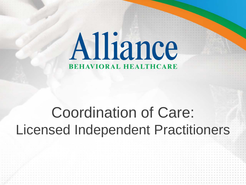# Alliance **BEHAVIORAL HEALTHCARE**

## Coordination of Care: Licensed Independent Practitioners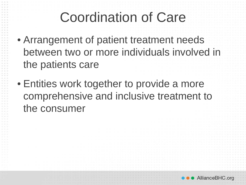#### Coordination of Care

- Arrangement of patient treatment needs between two or more individuals involved in the patients care
- Entities work together to provide a more comprehensive and inclusive treatment to the consumer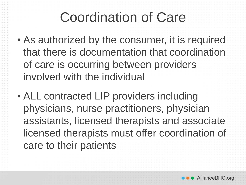## Coordination of Care

- As authorized by the consumer, it is required that there is documentation that coordination of care is occurring between providers involved with the individual
- ALL contracted LIP providers including physicians, nurse practitioners, physician assistants, licensed therapists and associate licensed therapists must offer coordination of care to their patients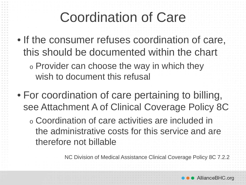#### Coordination of Care

• If the consumer refuses coordination of care, this should be documented within the chart

<sup>o</sup> Provider can choose the way in which they wish to document this refusal

• For coordination of care pertaining to billing, see Attachment A of Clinical Coverage Policy 8C

<sup>o</sup> Coordination of care activities are included in the administrative costs for this service and are therefore not billable

NC Division of Medical Assistance Clinical Coverage Policy 8C 7.2.2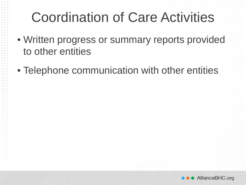### Coordination of Care Activities

- Written progress or summary reports provided to other entities
- Telephone communication with other entities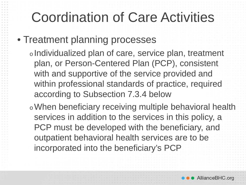## Coordination of Care Activities

• Treatment planning processes

<sup>o</sup> Individualized plan of care, service plan, treatment plan, or Person-Centered Plan (PCP), consistent with and supportive of the service provided and within professional standards of practice, required according to Subsection 7.3.4 below

<sup>o</sup>When beneficiary receiving multiple behavioral health services in addition to the services in this policy, a PCP must be developed with the beneficiary, and outpatient behavioral health services are to be incorporated into the beneficiary's PCP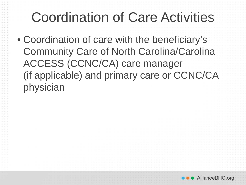## Coordination of Care Activities

• Coordination of care with the beneficiary's Community Care of North Carolina/Carolina ACCESS (CCNC/CA) care manager (if applicable) and primary care or CCNC/CA physician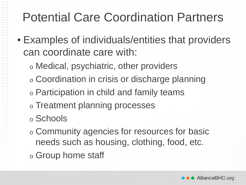#### Potential Care Coordination Partners

- Examples of individuals/entities that providers can coordinate care with:
	- <sup>o</sup> Medical, psychiatric, other providers
	- <sup>o</sup> Coordination in crisis or discharge planning
	- <sup>o</sup> Participation in child and family teams
	- <sup>o</sup> Treatment planning processes
	- <sup>o</sup> Schools
	- <sup>o</sup> Community agencies for resources for basic needs such as housing, clothing, food, etc.
	- <sup>o</sup> Group home staff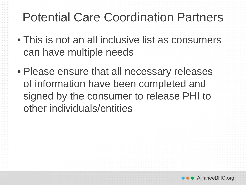#### Potential Care Coordination Partners

- This is not an all inclusive list as consumers can have multiple needs
- Please ensure that all necessary releases of information have been completed and signed by the consumer to release PHI to other individuals/entities